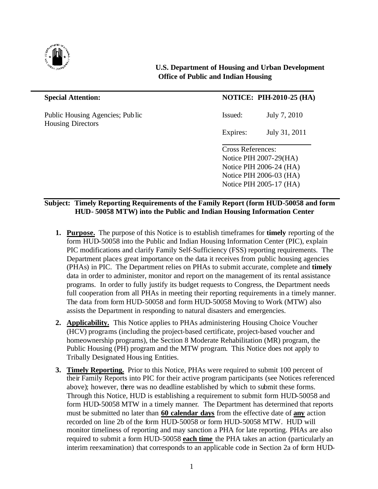

## **U.S. Department of Housing and Urban Development Office of Public and Indian Housing**

Public Housing Agencies; Public Issued: July 7, 2010 Housing Directors

 $\overline{a}$ 

# **Special Attention: NOTICE: PIH-2010-25 (HA)**

Expires: July 31, 2011

Cross References: Notice PIH 2007-29(HA) Notice PIH 2006-24 (HA) Notice PIH 2006-03 (HA) Notice PIH 2005-17 (HA)

### **Subject: Timely Reporting Requirements of the Family Report (form HUD-50058 and form HUD- 50058 MTW) into the Public and Indian Housing Information Center**

- **1. Purpose.** The purpose of this Notice is to establish timeframes for **timely** reporting of the form HUD-50058 into the Public and Indian Housing Information Center (PIC), explain PIC modifications and clarify Family Self-Sufficiency (FSS) reporting requirements. The Department places great importance on the data it receives from public housing agencies (PHAs) in PIC. The Department relies on PHAs to submit accurate, complete and **timely** data in order to administer, monitor and report on the management of its rental assistance programs. In order to fully justify its budget requests to Congress, the Department needs full cooperation from all PHAs in meeting their reporting requirements in a timely manner. The data from form HUD-50058 and form HUD-50058 Moving to Work (MTW) also assists the Department in responding to natural disasters and emergencies.
- **2. Applicability.** This Notice applies to PHAs administering Housing Choice Voucher (HCV) programs (including the project-based certificate, project-based voucher and homeownership programs), the Section 8 Moderate Rehabilitation (MR) program, the Public Housing (PH) program and the MTW program. This Notice does not apply to Tribally Designated Housing Entities.
- **3. Timely Reporting.** Prior to this Notice, PHAs were required to submit 100 percent of their Family Reports into PIC for their active program participants (see Notices referenced above); however, there was no deadline established by which to submit these forms. Through this Notice, HUD is establishing a requirement to submit form HUD-50058 and form HUD-50058 MTW in a timely manner. The Department has determined that reports must be submitted no later than **60 calendar days** from the effective date of **any** action recorded on line 2b of the form HUD-50058 or form HUD-50058 MTW. HUD will monitor timeliness of reporting and may sanction a PHA for late reporting. PHAs are also required to submit a form HUD-50058 **each time** the PHA takes an action (particularly an interim reexamination) that corresponds to an applicable code in Section 2a of form HUD-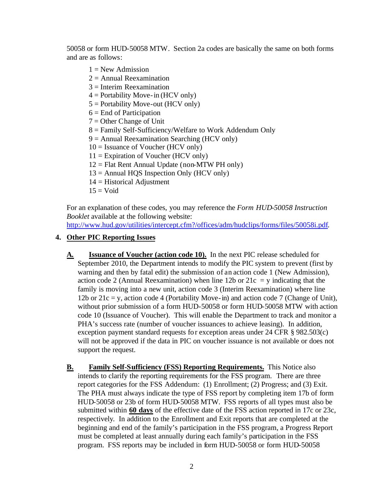50058 or form HUD-50058 MTW. Section 2a codes are basically the same on both forms and are as follows:

- $1 = New$  Admission
- $2 =$  Annual Reexamination
- $3 =$ Interim Reexamination
- $4 =$  Portability Move-in (HCV only)
- $5 =$  Portability Move-out (HCV only)
- $6 =$  End of Participation
- $7 =$  Other Change of Unit
- 8 = Family Self-Sufficiency/Welfare to Work Addendum Only
- 9 = Annual Reexamination Searching (HCV only)
- $10 =$  Issuance of Voucher (HCV only)
- $11 =$  Expiration of Voucher (HCV only)
- $12 =$  Flat Rent Annual Update (non-MTW PH only)
- $13 =$  Annual HQS Inspection Only (HCV only)
- 14 = Historical Adjustment
- $15 = \text{Void}$

For an explanation of these codes, you may reference the *Form HUD-50058 Instruction Booklet* available at the following website:

http://www.hud.gov/utilities/intercept.cfm?/offices/adm/hudclips/forms/files/50058i.pdf.

## **4. Other PIC Reporting Issues**

- **A. Issuance of Voucher (action code 10).** In the next PIC release scheduled for September 2010, the Department intends to modify the PIC system to prevent (first by warning and then by fatal edit) the submission of an action code 1 (New Admission), action code 2 (Annual Reexamination) when line 12b or  $21c = y$  indicating that the family is moving into a new unit, action code 3 (Interim Reexamination) where line 12b or  $21c = y$ , action code 4 (Portability Move-in) and action code 7 (Change of Unit), without prior submission of a form HUD-50058 or form HUD-50058 MTW with action code 10 (Issuance of Voucher). This will enable the Department to track and monitor a PHA's success rate (number of voucher issuances to achieve leasing). In addition, exception payment standard requests for exception areas under 24 CFR § 982.503(c) will not be approved if the data in PIC on voucher issuance is not available or does not support the request.
- **B. Family Self-Sufficiency (FSS) Reporting Requirements.** This Notice also intends to clarify the reporting requirements for the FSS program. There are three report categories for the FSS Addendum: (1) Enrollment; (2) Progress; and (3) Exit. The PHA must always indicate the type of FSS report by completing item 17b of form HUD-50058 or 23b of form HUD-50058 MTW. FSS reports of all types must also be submitted within **60 days** of the effective date of the FSS action reported in 17c or 23c, respectively. In addition to the Enrollment and Exit reports that are completed at the beginning and end of the family's participation in the FSS program, a Progress Report must be completed at least annually during each family's participation in the FSS program. FSS reports may be included in form HUD-50058 or form HUD-50058